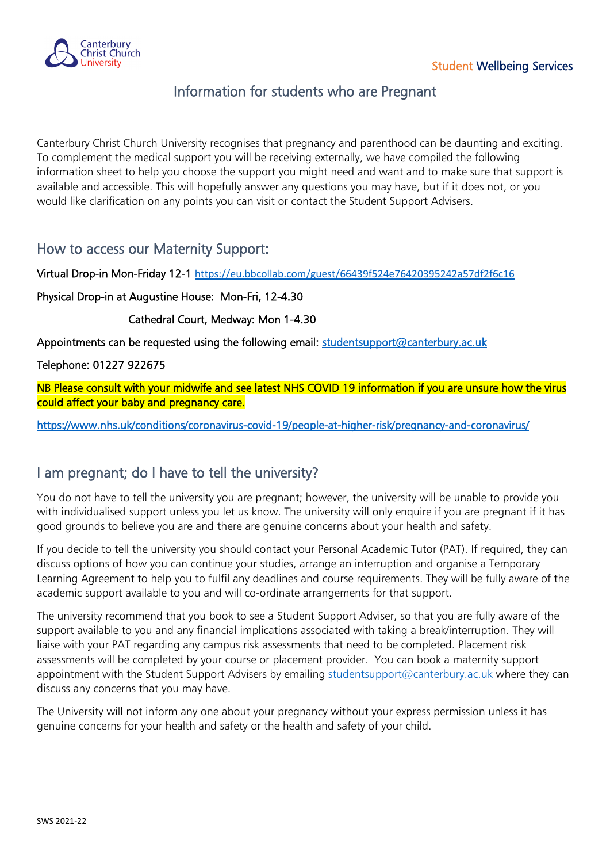

## Information for students who are Pregnant

Canterbury Christ Church University recognises that pregnancy and parenthood can be daunting and exciting. To complement the medical support you will be receiving externally, we have compiled the following information sheet to help you choose the support you might need and want and to make sure that support is available and accessible. This will hopefully answer any questions you may have, but if it does not, or you would like clarification on any points you can visit or contact the Student Support Advisers.

#### How to access our Maternity Support:

Virtual Drop-in Mon-Friday 12-1 <https://eu.bbcollab.com/guest/66439f524e76420395242a57df2f6c16>

Physical Drop-in at Augustine House: Mon-Fri, 12-4.30

Cathedral Court, Medway: Mon 1-4.30

Appointments can be requested using the following email: studentsupport@canterbury.ac.uk

Telephone: 01227 922675

NB Please consult with your midwife and see latest NHS COVID 19 information if you are unsure how the virus could affect your baby and pregnancy care.

<https://www.nhs.uk/conditions/coronavirus-covid-19/people-at-higher-risk/pregnancy-and-coronavirus/>

### I am pregnant; do I have to tell the university?

You do not have to tell the university you are pregnant; however, the university will be unable to provide you with individualised support unless you let us know. The university will only enquire if you are pregnant if it has good grounds to believe you are and there are genuine concerns about your health and safety.

If you decide to tell the university you should contact your Personal Academic Tutor (PAT). If required, they can discuss options of how you can continue your studies, arrange an interruption and organise a Temporary Learning Agreement to help you to fulfil any deadlines and course requirements. They will be fully aware of the academic support available to you and will co-ordinate arrangements for that support.

The university recommend that you book to see a Student Support Adviser, so that you are fully aware of the support available to you and any financial implications associated with taking a break/interruption. They will liaise with your PAT regarding any campus risk assessments that need to be completed. Placement risk assessments will be completed by your course or placement provider. You can book a maternity support appointment with the Student Support Advisers by emailing [studentsupport@canterbury.ac.uk](mailto:studentsupport@canterbury.ac.uk) where they can discuss any concerns that you may have.

The University will not inform any one about your pregnancy without your express permission unless it has genuine concerns for your health and safety or the health and safety of your child.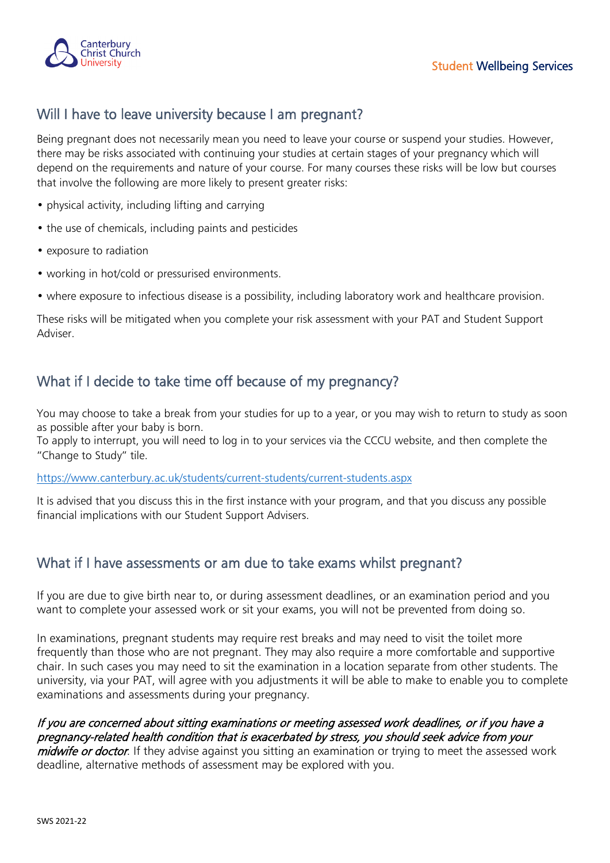

#### Will I have to leave university because I am pregnant?

Being pregnant does not necessarily mean you need to leave your course or suspend your studies. However, there may be risks associated with continuing your studies at certain stages of your pregnancy which will depend on the requirements and nature of your course. For many courses these risks will be low but courses that involve the following are more likely to present greater risks:

- physical activity, including lifting and carrying
- the use of chemicals, including paints and pesticides
- exposure to radiation
- working in hot/cold or pressurised environments.
- where exposure to infectious disease is a possibility, including laboratory work and healthcare provision.

These risks will be mitigated when you complete your risk assessment with your PAT and Student Support Adviser.

## What if I decide to take time off because of my pregnancy?

You may choose to take a break from your studies for up to a year, or you may wish to return to study as soon as possible after your baby is born.

To apply to interrupt, you will need to log in to your services via the CCCU website, and then complete the "Change to Study" tile.

<https://www.canterbury.ac.uk/students/current-students/current-students.aspx>

It is advised that you discuss this in the first instance with your program, and that you discuss any possible financial implications with our Student Support Advisers.

### What if I have assessments or am due to take exams whilst pregnant?

If you are due to give birth near to, or during assessment deadlines, or an examination period and you want to complete your assessed work or sit your exams, you will not be prevented from doing so.

In examinations, pregnant students may require rest breaks and may need to visit the toilet more frequently than those who are not pregnant. They may also require a more comfortable and supportive chair. In such cases you may need to sit the examination in a location separate from other students. The university, via your PAT, will agree with you adjustments it will be able to make to enable you to complete examinations and assessments during your pregnancy.

If you are concerned about sitting examinations or meeting assessed work deadlines, or if you have a pregnancy-related health condition that is exacerbated by stress, you should seek advice from your midwife or doctor. If they advise against you sitting an examination or trying to meet the assessed work deadline, alternative methods of assessment may be explored with you.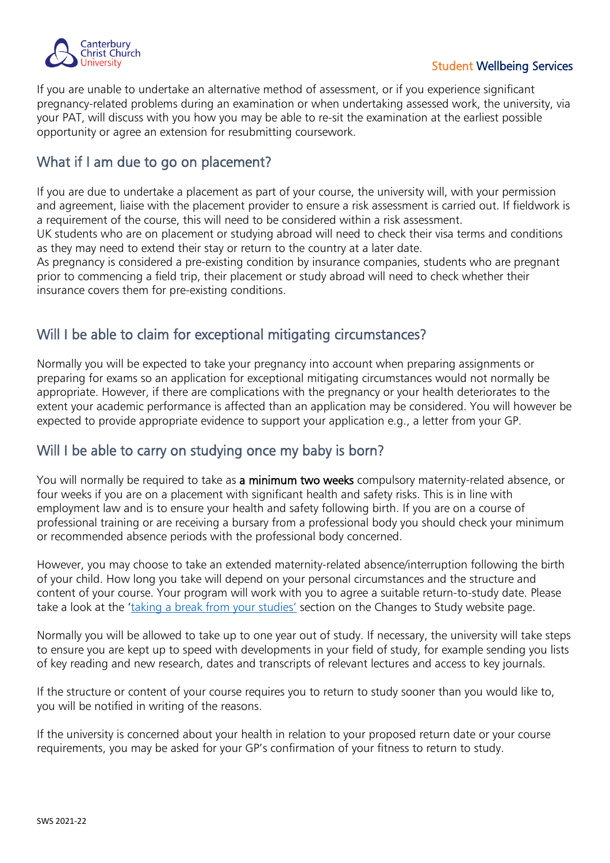

If you are unable to undertake an alternative method of assessment, or if you experience significant pregnancy-related problems during an examination or when undertaking assessed work, the university, via your PAT, will discuss with you how you may be able to re-sit the examination at the earliest possible opportunity or agree an extension for resubmitting coursework.

## What if I am due to go on placement?

If you are due to undertake a placement as part of your course, the university will, with your permission and agreement, liaise with the placement provider to ensure a risk assessment is carried out. If fieldwork is a requirement of the course, this will need to be considered within a risk assessment.

UK students who are on placement or studying abroad will need to check their visa terms and conditions as they may need to extend their stay or return to the country at a later date.

As pregnancy is considered a pre-existing condition by insurance companies, students who are pregnant prior to commencing a field trip, their placement or study abroad will need to check whether their insurance covers them for pre-existing conditions.

# Will I be able to claim for exceptional mitigating circumstances?

Normally you will be expected to take your pregnancy into account when preparing assignments or preparing for exams so an application for exceptional mitigating circumstances would not normally be appropriate. However, if there are complications with the pregnancy or your health deteriorates to the extent your academic performance is affected than an application may be considered. You will however be expected to provide appropriate evidence to support your application e.g., a letter from your GP.

### Will I be able to carry on studying once my baby is born?

You will normally be required to take as a minimum two weeks compulsory maternity-related absence, or four weeks if you are on a placement with significant health and safety risks. This is in line with employment law and is to ensure your health and safety following birth. If you are on a course of professional training or are receiving a bursary from a professional body you should check your minimum or recommended absence periods with the professional body concerned.

However, you may choose to take an extended maternity-related absence/interruption following the birth of your child. How long you take will depend on your personal circumstances and the structure and content of your course. Your program will work with you to agree a suitable return-to-study date. Please take a look at the ['taking a break from your studies'](https://www.canterbury.ac.uk/our-students/ug-current/academic-services/student-records-and-registration/changes-to-study#:%7E:text=If%20you%20take%20a%20break,of%20one%20further%20academic%20year.) section on the Changes to Study website page.

Normally you will be allowed to take up to one year out of study. If necessary, the university will take steps to ensure you are kept up to speed with developments in your field of study, for example sending you lists of key reading and new research, dates and transcripts of relevant lectures and access to key journals.

If the structure or content of your course requires you to return to study sooner than you would like to, you will be notified in writing of the reasons.

If the university is concerned about your health in relation to your proposed return date or your course requirements, you may be asked for your GP's confirmation of your fitness to return to study.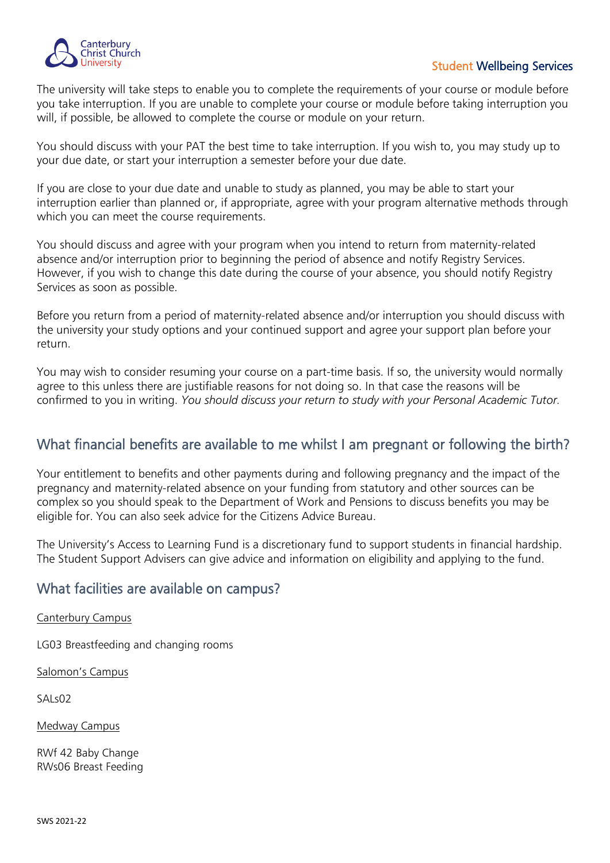

#### Student Wellbeing Services

The university will take steps to enable you to complete the requirements of your course or module before you take interruption. If you are unable to complete your course or module before taking interruption you will, if possible, be allowed to complete the course or module on your return.

You should discuss with your PAT the best time to take interruption. If you wish to, you may study up to your due date, or start your interruption a semester before your due date.

If you are close to your due date and unable to study as planned, you may be able to start your interruption earlier than planned or, if appropriate, agree with your program alternative methods through which you can meet the course requirements.

You should discuss and agree with your program when you intend to return from maternity-related absence and/or interruption prior to beginning the period of absence and notify Registry Services. However, if you wish to change this date during the course of your absence, you should notify Registry Services as soon as possible.

Before you return from a period of maternity-related absence and/or interruption you should discuss with the university your study options and your continued support and agree your support plan before your return.

You may wish to consider resuming your course on a part-time basis. If so, the university would normally agree to this unless there are justifiable reasons for not doing so. In that case the reasons will be confirmed to you in writing. *You should discuss your return to study with your Personal Academic Tutor.*

#### What financial benefits are available to me whilst I am pregnant or following the birth?

Your entitlement to benefits and other payments during and following pregnancy and the impact of the pregnancy and maternity-related absence on your funding from statutory and other sources can be complex so you should speak to the Department of Work and Pensions to discuss benefits you may be eligible for. You can also seek advice for the Citizens Advice Bureau.

The University's Access to Learning Fund is a discretionary fund to support students in financial hardship. The Student Support Advisers can give advice and information on eligibility and applying to the fund.

#### What facilities are available on campus?

Canterbury Campus

LG03 Breastfeeding and changing rooms

Salomon's Campus

SALs02

Medway Campus

RWf 42 Baby Change RWs06 Breast Feeding